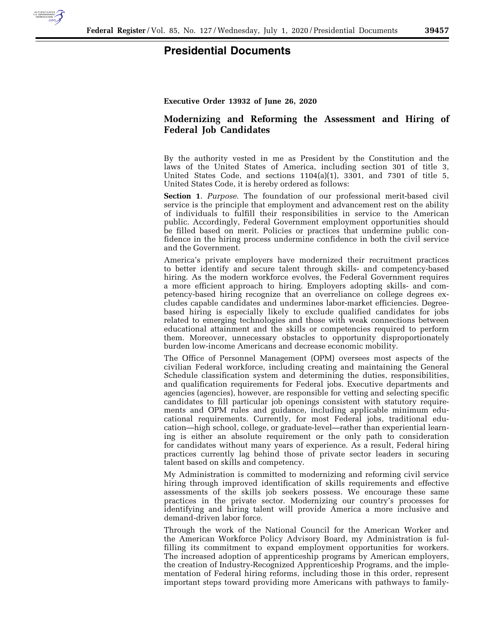

## **Presidential Documents**

**Executive Order 13932 of June 26, 2020** 

## **Modernizing and Reforming the Assessment and Hiring of Federal Job Candidates**

By the authority vested in me as President by the Constitution and the laws of the United States of America, including section 301 of title 3, United States Code, and sections 1104(a)(1), 3301, and 7301 of title 5, United States Code, it is hereby ordered as follows:

**Section 1**. *Purpose*. The foundation of our professional merit-based civil service is the principle that employment and advancement rest on the ability of individuals to fulfill their responsibilities in service to the American public. Accordingly, Federal Government employment opportunities should be filled based on merit. Policies or practices that undermine public confidence in the hiring process undermine confidence in both the civil service and the Government.

America's private employers have modernized their recruitment practices to better identify and secure talent through skills- and competency-based hiring. As the modern workforce evolves, the Federal Government requires a more efficient approach to hiring. Employers adopting skills- and competency-based hiring recognize that an overreliance on college degrees excludes capable candidates and undermines labor-market efficiencies. Degreebased hiring is especially likely to exclude qualified candidates for jobs related to emerging technologies and those with weak connections between educational attainment and the skills or competencies required to perform them. Moreover, unnecessary obstacles to opportunity disproportionately burden low-income Americans and decrease economic mobility.

The Office of Personnel Management (OPM) oversees most aspects of the civilian Federal workforce, including creating and maintaining the General Schedule classification system and determining the duties, responsibilities, and qualification requirements for Federal jobs. Executive departments and agencies (agencies), however, are responsible for vetting and selecting specific candidates to fill particular job openings consistent with statutory requirements and OPM rules and guidance, including applicable minimum educational requirements. Currently, for most Federal jobs, traditional education—high school, college, or graduate-level—rather than experiential learning is either an absolute requirement or the only path to consideration for candidates without many years of experience. As a result, Federal hiring practices currently lag behind those of private sector leaders in securing talent based on skills and competency.

My Administration is committed to modernizing and reforming civil service hiring through improved identification of skills requirements and effective assessments of the skills job seekers possess. We encourage these same practices in the private sector. Modernizing our country's processes for identifying and hiring talent will provide America a more inclusive and demand-driven labor force.

Through the work of the National Council for the American Worker and the American Workforce Policy Advisory Board, my Administration is fulfilling its commitment to expand employment opportunities for workers. The increased adoption of apprenticeship programs by American employers, the creation of Industry-Recognized Apprenticeship Programs, and the implementation of Federal hiring reforms, including those in this order, represent important steps toward providing more Americans with pathways to family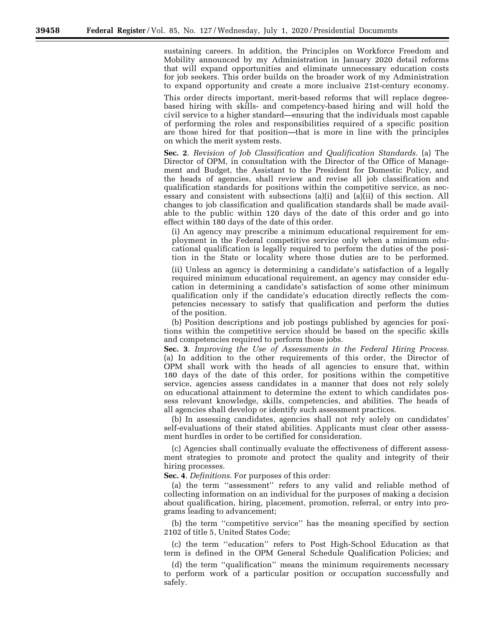sustaining careers. In addition, the Principles on Workforce Freedom and Mobility announced by my Administration in January 2020 detail reforms that will expand opportunities and eliminate unnecessary education costs for job seekers. This order builds on the broader work of my Administration to expand opportunity and create a more inclusive 21st-century economy.

This order directs important, merit-based reforms that will replace degreebased hiring with skills- and competency-based hiring and will hold the civil service to a higher standard—ensuring that the individuals most capable of performing the roles and responsibilities required of a specific position are those hired for that position—that is more in line with the principles on which the merit system rests.

**Sec. 2**. *Revision of Job Classification and Qualification Standards*. (a) The Director of OPM, in consultation with the Director of the Office of Management and Budget, the Assistant to the President for Domestic Policy, and the heads of agencies, shall review and revise all job classification and qualification standards for positions within the competitive service, as necessary and consistent with subsections (a)(i) and (a)(ii) of this section. All changes to job classification and qualification standards shall be made available to the public within 120 days of the date of this order and go into effect within 180 days of the date of this order.

(i) An agency may prescribe a minimum educational requirement for employment in the Federal competitive service only when a minimum educational qualification is legally required to perform the duties of the position in the State or locality where those duties are to be performed.

(ii) Unless an agency is determining a candidate's satisfaction of a legally required minimum educational requirement, an agency may consider education in determining a candidate's satisfaction of some other minimum qualification only if the candidate's education directly reflects the competencies necessary to satisfy that qualification and perform the duties of the position.

(b) Position descriptions and job postings published by agencies for positions within the competitive service should be based on the specific skills and competencies required to perform those jobs.

**Sec. 3**. *Improving the Use of Assessments in the Federal Hiring Process*. (a) In addition to the other requirements of this order, the Director of OPM shall work with the heads of all agencies to ensure that, within 180 days of the date of this order, for positions within the competitive service, agencies assess candidates in a manner that does not rely solely on educational attainment to determine the extent to which candidates possess relevant knowledge, skills, competencies, and abilities. The heads of all agencies shall develop or identify such assessment practices.

(b) In assessing candidates, agencies shall not rely solely on candidates' self-evaluations of their stated abilities. Applicants must clear other assessment hurdles in order to be certified for consideration.

(c) Agencies shall continually evaluate the effectiveness of different assessment strategies to promote and protect the quality and integrity of their hiring processes.

**Sec. 4**. *Definitions*. For purposes of this order:

(a) the term ''assessment'' refers to any valid and reliable method of collecting information on an individual for the purposes of making a decision about qualification, hiring, placement, promotion, referral, or entry into programs leading to advancement;

(b) the term ''competitive service'' has the meaning specified by section 2102 of title 5, United States Code;

(c) the term ''education'' refers to Post High-School Education as that term is defined in the OPM General Schedule Qualification Policies; and

(d) the term ''qualification'' means the minimum requirements necessary to perform work of a particular position or occupation successfully and safely.